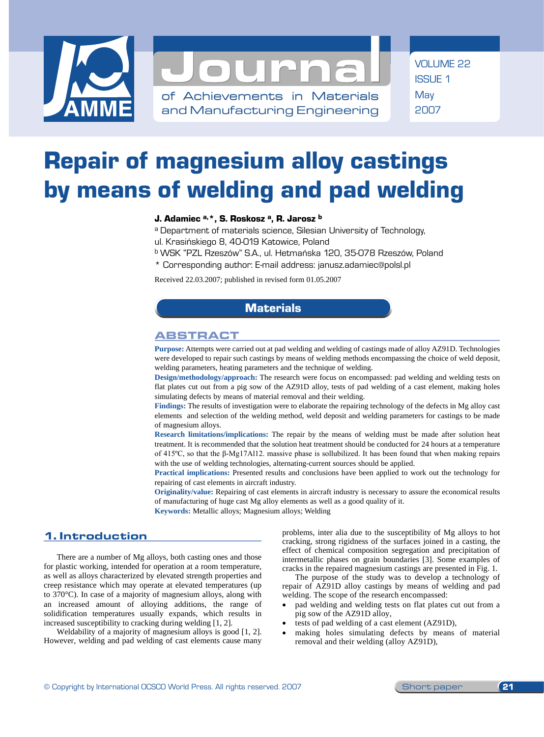



of Achievements in Materials and Manufacturing Engineering VOLUME 22 ISSUE 1 May 2007

# Repair of magnesium alloy castings by means of welding and pad welding

## J. Adamiec a, \*, S. Roskosz a, R. Jarosz b

a Department of materials science, Silesian University of Technology,

ul. Krasińskiego 8, 40-019 Katowice, Poland

- b WSK "PZL Rzeszów" S.A., ul. Hetmańska 120, 35-078 Rzeszów, Poland
- \* Corresponding author: E-mail address: janusz.adamiec@polsl.pl

Received 22.03.2007; published in revised form 01.05.2007

## **Materials**

## Abstract

**Purpose:** Attempts were carried out at pad welding and welding of castings made of alloy AZ91D. Technologies were developed to repair such castings by means of welding methods encompassing the choice of weld deposit, welding parameters, heating parameters and the technique of welding.

**Design/methodology/approach:** The research were focus on encompassed: pad welding and welding tests on flat plates cut out from a pig sow of the AZ91D alloy, tests of pad welding of a cast element, making holes simulating defects by means of material removal and their welding.

**Findings:** The results of investigation were to elaborate the repairing technology of the defects in Mg alloy cast elements and selection of the welding method, weld deposit and welding parameters for castings to be made of magnesium alloys.

**Research limitations/implications:** The repair by the means of welding must be made after solution heat treatment. It is recommended that the solution heat treatment should be conducted for 24 hours at a temperature of 415ºC, so that the β-Mg17Al12. massive phase is sollubilized. It has been found that when making repairs with the use of welding technologies, alternating-current sources should be applied.

**Practical implications:** Presented results and conclusions have been applied to work out the technology for repairing of cast elements in aircraft industry.

**Originality/value:** Repairing of cast elements in aircraft industry is necessary to assure the economical results of manufacturing of huge cast Mg alloy elements as well as a good quality of it.

**Keywords:** Metallic alloys; Magnesium alloys; Welding

# **1. Introduction**  1. Introduction

There are a number of Mg alloys, both casting ones and those for plastic working, intended for operation at a room temperature, as well as alloys characterized by elevated strength properties and creep resistance which may operate at elevated temperatures (up to 370°C). In case of a majority of magnesium alloys, along with an increased amount of alloying additions, the range of solidification temperatures usually expands, which results in increased susceptibility to cracking during welding [1, 2].

Weldability of a majority of magnesium alloys is good [1, 2]. However, welding and pad welding of cast elements cause many problems, inter alia due to the susceptibility of Mg alloys to hot cracking, strong rigidness of the surfaces joined in a casting, the effect of chemical composition segregation and precipitation of intermetallic phases on grain boundaries [3]. Some examples of cracks in the repaired magnesium castings are presented in Fig. 1.

The purpose of the study was to develop a technology of repair of AZ91D alloy castings by means of welding and pad welding. The scope of the research encompassed:

- pad welding and welding tests on flat plates cut out from a pig sow of the AZ91D alloy,
- tests of pad welding of a cast element (AZ91D),
- making holes simulating defects by means of material removal and their welding (alloy AZ91D),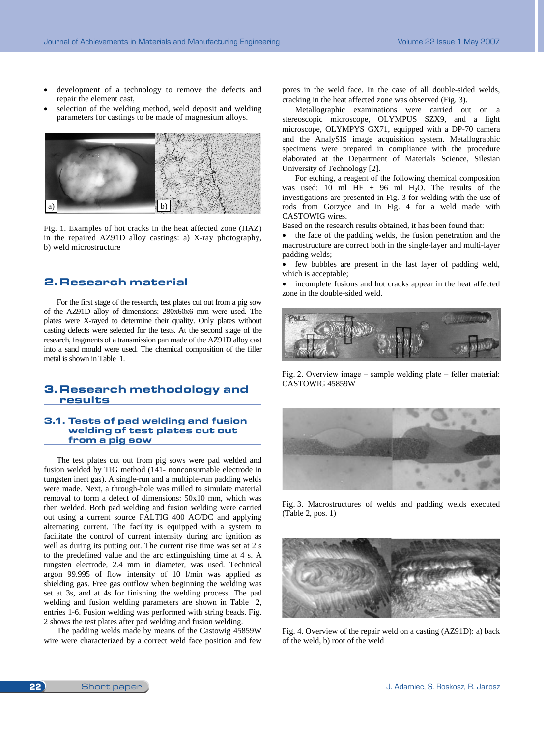- development of a technology to remove the defects and repair the element cast,
- selection of the welding method, weld deposit and welding parameters for castings to be made of magnesium alloys.



Fig. 1. Examples of hot cracks in the heat affected zone (HAZ) in the repaired AZ91D alloy castings: a) X-ray photography, b) weld microstructure

# **2. Research material**  2. Research material

For the first stage of the research, test plates cut out from a pig sow of the AZ91D alloy of dimensions: 280x60x6 mm were used. The plates were X-rayed to determine their quality. Only plates without casting defects were selected for the tests. At the second stage of the research, fragments of a transmission pan made of the AZ91D alloy cast into a sand mould were used. The chemical composition of the filler metal is shown in Table 1.

## **3. Research methodology and results**  3. Research methodology and results

#### **3.1 Tests of pad welding and fusion welding of**  3.1. Tests of pad welding and fusion **test plates cut out from a pig sow** welding of test plates cut out from a pig sow

The test plates cut out from pig sows were pad welded and fusion welded by TIG method (141- nonconsumable electrode in tungsten inert gas). A single-run and a multiple-run padding welds were made. Next, a through-hole was milled to simulate material removal to form a defect of dimensions: 50x10 mm, which was then welded. Both pad welding and fusion welding were carried out using a current source FALTIG 400 AC/DC and applying alternating current. The facility is equipped with a system to facilitate the control of current intensity during arc ignition as well as during its putting out. The current rise time was set at 2 s to the predefined value and the arc extinguishing time at 4 s. A tungsten electrode, 2.4 mm in diameter, was used. Technical argon 99.995 of flow intensity of 10 l/min was applied as shielding gas. Free gas outflow when beginning the welding was set at 3s, and at 4s for finishing the welding process. The pad welding and fusion welding parameters are shown in Table 2, entries 1-6. Fusion welding was performed with string beads. Fig. 2 shows the test plates after pad welding and fusion welding.

The padding welds made by means of the Castowig 45859W wire were characterized by a correct weld face position and few pores in the weld face. In the case of all double-sided welds, cracking in the heat affected zone was observed (Fig. 3).

Metallographic examinations were carried out on a stereoscopic microscope, OLYMPUS SZX9, and a light microscope, OLYMPYS GX71, equipped with a DP-70 camera and the AnalySIS image acquisition system. Metallographic specimens were prepared in compliance with the procedure elaborated at the Department of Materials Science, Silesian University of Technology [2].

For etching, a reagent of the following chemical composition was used: 10 ml HF + 96 ml H<sub>2</sub>O. The results of the investigations are presented in Fig. 3 for welding with the use of rods from Gorzyce and in Fig. 4 for a weld made with CASTOWIG wires.

Based on the research results obtained, it has been found that:

• the face of the padding welds, the fusion penetration and the macrostructure are correct both in the single-layer and multi-layer padding welds;

• few bubbles are present in the last layer of padding weld, which is acceptable;

• incomplete fusions and hot cracks appear in the heat affected zone in the double-sided weld.



Fig. 2. Overview image – sample welding plate – feller material: CASTOWIG 45859W



Fig. 3. Macrostructures of welds and padding welds executed (Table 2, pos. 1)



Fig. 4. Overview of the repair weld on a casting (AZ91D): a) back of the weld, b) root of the weld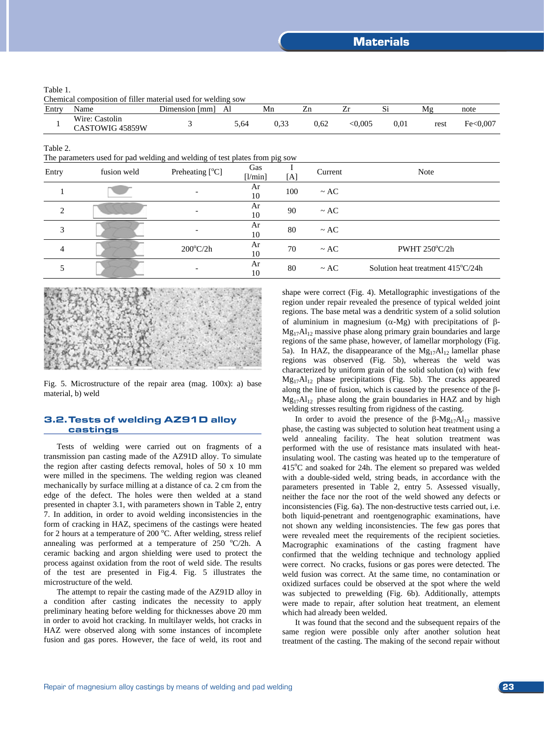#### Table 1.

Chemical composition of filler material used for welding sow

| Entry            | Name                              | Dimension [mm] | Al                                | Mn   | Zn   | Zr     | $\mathbf{D}$ | M₫   | note      |
|------------------|-----------------------------------|----------------|-----------------------------------|------|------|--------|--------------|------|-----------|
|                  | Wire: Castolin<br>CASTOWIG 45859W |                | 5,64                              | 0.33 | 0.62 | <0.005 | 0.01         | rest | Fe< 0.007 |
| Table 2.<br>COL. | 1.11<br>$\mathbf{r}$              | 1.11           | $\mathcal{C}$ . The $\mathcal{C}$ |      |      |        |              |      |           |

|                | The parameters used for pad welding and welding of test plates from pig sow |                    |                |     |           |                                            |
|----------------|-----------------------------------------------------------------------------|--------------------|----------------|-----|-----------|--------------------------------------------|
| Entry          | fusion weld                                                                 | Preheating [°C]    | Gas<br>[1/min] | [A] | Current   | <b>Note</b>                                |
|                |                                                                             |                    | Ar<br>10       | 100 | $\sim$ AC |                                            |
| 2              |                                                                             |                    | Ar<br>10       | 90  | $\sim$ AC |                                            |
| 3              |                                                                             |                    | Ar<br>10       | 80  | $\sim AC$ |                                            |
| $\overline{4}$ |                                                                             | $200^{\circ}$ C/2h | Ar<br>10       | 70  | $\sim$ AC | PWHT $250^{\circ}$ C/2h                    |
|                |                                                                             |                    | Ar<br>10       | 80  | $\sim$ AC | Solution heat treatment $415^{\circ}C/24h$ |



Fig. 5. Microstructure of the repair area (mag. 100x): a) base material, b) weld

#### **3.2. Tests of welding AZ91D alloy castings**  3.2. Tests of welding AZ91D alloy castings

Tests of welding were carried out on fragments of a transmission pan casting made of the AZ91D alloy. To simulate the region after casting defects removal, holes of 50 x 10 mm were milled in the specimens. The welding region was cleaned mechanically by surface milling at a distance of ca. 2 cm from the edge of the defect. The holes were then welded at a stand presented in chapter 3.1, with parameters shown in Table 2, entry 7. In addition, in order to avoid welding inconsistencies in the form of cracking in HAZ, specimens of the castings were heated for 2 hours at a temperature of 200 °C. After welding, stress relief annealing was performed at a temperature of  $250 \degree C/2$ h. A ceramic backing and argon shielding were used to protect the process against oxidation from the root of weld side. The results of the test are presented in Fig.4. Fig. 5 illustrates the microstructure of the weld.

The attempt to repair the casting made of the AZ91D alloy in a condition after casting indicates the necessity to apply preliminary heating before welding for thicknesses above 20 mm in order to avoid hot cracking. In multilayer welds, hot cracks in HAZ were observed along with some instances of incomplete fusion and gas pores. However, the face of weld, its root and shape were correct (Fig. 4). Metallographic investigations of the region under repair revealed the presence of typical welded joint regions. The base metal was a dendritic system of a solid solution of aluminium in magnesium  $(\alpha-Mg)$  with precipitations of  $\beta$ - $Mg_{17}Al_{12}$  massive phase along primary grain boundaries and large regions of the same phase, however, of lamellar morphology (Fig. 5a). In HAZ, the disappearance of the  $Mg_{17}Al_{12}$  lamellar phase regions was observed (Fig. 5b), whereas the weld was characterized by uniform grain of the solid solution  $(\alpha)$  with few  $Mg_{17}Al_{12}$  phase precipitations (Fig. 5b). The cracks appeared along the line of fusion, which is caused by the presence of the  $\beta$ - $Mg_{17}Al_{12}$  phase along the grain boundaries in HAZ and by high welding stresses resulting from rigidness of the casting.

In order to avoid the presence of the  $\beta$ -Mg<sub>17</sub>Al<sub>12</sub> massive phase, the casting was subjected to solution heat treatment using a weld annealing facility. The heat solution treatment was performed with the use of resistance mats insulated with heatinsulating wool. The casting was heated up to the temperature of 415°C and soaked for 24h. The element so prepared was welded with a double-sided weld, string beads, in accordance with the parameters presented in Table 2, entry 5. Assessed visually, neither the face nor the root of the weld showed any defects or inconsistencies (Fig. 6a). The non-destructive tests carried out, i.e. both liquid-penetrant and roentgenographic examinations, have not shown any welding inconsistencies. The few gas pores that were revealed meet the requirements of the recipient societies. Macrographic examinations of the casting fragment have confirmed that the welding technique and technology applied were correct. No cracks, fusions or gas pores were detected. The weld fusion was correct. At the same time, no contamination or oxidized surfaces could be observed at the spot where the weld was subjected to prewelding (Fig. 6b). Additionally, attempts were made to repair, after solution heat treatment, an element which had already been welded.

It was found that the second and the subsequent repairs of the same region were possible only after another solution heat treatment of the casting. The making of the second repair without